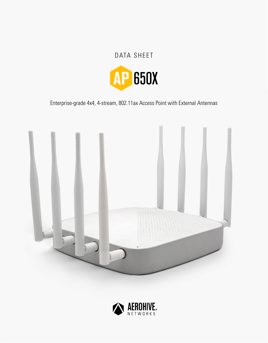# DATA SHEET



Enterprise-grade 4x4, 4-stream, 802.11ax Access Point with External Antennas



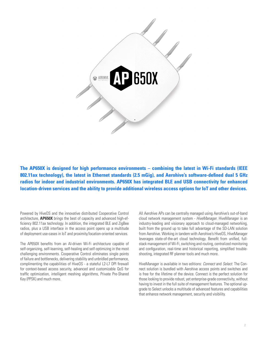

**The AP650X is designed for high performance environments – combining the latest in Wi-Fi standards (IEEE 802.11ax technology), the latest in Ethernet standards (2.5 mGig), and Aerohive's software-defined dual 5 GHz radios for indoor and industrial environments. AP650X has integrated BLE and USB connectivity for enhanced location-driven services and the ability to provide additional wireless access options for IoT and other devices.**

Powered by HiveOS and the innovative distributed Cooperative Control architecture, **AP650X** brings the best of capacity and advanced high-efficiency 802.11ax technology. In addition, the integrated BLE and ZigBee radios, plus a USB interface in the access point opens up a multitude of deployment use-cases in IoT and proximity/location-oriented services.

The AP650X benefits from an AI-driven Wi-Fi architecture capable of self-organizing, self-learning, self-healing and self-optimizing in the most challenging environments. Cooperative Control eliminates single points of failure and bottlenecks, delivering stability and unbridled performance, complimenting the capabilities of HiveOS - a stateful L2-L7 DPI firewall for context-based access security, advanced and customizable QoS for traffic optimization, intelligent meshing algorithms, Private Pre-Shared Key (PPSK) and much more.

All Aerohive APs can be centrally managed using Aerohive's out-of-band cloud network management system - *HiveManager*. HiveManager is an industry-leading and visionary approach to cloud-managed networking, built from the ground up to take full advantage of the SD-LAN solution from Aerohive. Working in tandem with Aerohive's HiveOS, HiveManager leverages state-of-the-art cloud technology. Benefit from unified, fullstack management of Wi-Fi, switching and routing, centralized monitoring and configuration, real-time and historical reporting, simplified troubleshooting, integrated RF planner tools and much more.

HiveManager is available in two editions: *Connect* and *Select*. The Connect solution is bundled with Aerohive access points and switches and is free for the lifetime of the device. Connect is the perfect solution for those looking to provide robust, yet enterprise-grade connectivity, without having to invest in the full suite of management features. The optional upgrade to Select unlocks a multitude of advanced features and capabilities that enhance network management, security and visibility.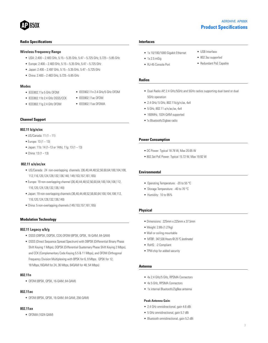# 1650X

# **Product Specifications** AEROHIVE AP650X

• USB Interface • 802.3az supported • Redundant PoE Capable

### **Radio Specifications**

#### **Wireless Frequency Range**

- USA: 2.400 ~ 2.483 GHz, 5.15 ~ 5.35 GHz, 5.47 ~ 5.725 GHz, 5.725 ~ 5.85 GHz
- Europe: 2.400 ~ 2.483 GHz, 5.15 ~ 5.35 GHz, 5.47 ~ 5.725 GHz
- Japan: 2.400 ~ 2.497 GHz, 5.15 ~ 5.35 GHz, 5.47 ~ 5.725 GHz
- China:  $2.400 \approx 2.483$  GHz,  $5.725 \approx 5.85$  GHz

#### **Modes**

• IEEE802.11a 5 GHz OFDM

• IEEE802.11g 2.4 GHz OFDM

- IEEE802.11b 2.4 GHz DSSS/CCK
- IEEE802.11ac OFDM • IEEE802.11ax OFDMA

• IEEE802.11n 2.4 GHz/5 GHz OFDM

#### **Channel Support**

#### **802.11 b/g/n/ax**

- US/Canada: 11 (1 ~ 11)
- Europe: 13 (1 ~ 13)
- Japan: 11b: 14 (1~13 or 14th), 11g: 13 (1 ~ 13)
- China: 13 (1  $\sim$  13)

## **802.11 a/n/ac/ax**

- US/Canada: 24 non-overlapping channels (36,40,44,48,52,56,60,64;100,104,108, 112,116,120,124,128,132,136,140; 149,153,157,161,165)
- Europe: 19 non-overlapping channel (36,40,44,48,52,56,60,64;100,104,108,112, 116,120,124,128,132,136,140)
- Japan: 19 non-overlapping channels (36,40,44,48,52,56,60,64;100,104,108,112, 116,120,124,128,132,136,140)
- China: 5 non-overlapping channels (149,153,157,161,165)

#### **Modulation Technology**

#### **802.11 Legacy a/b/g**

- DSSS (DBPSK, DQPSK, CCK) OFDM (BPSK, QPSK, 16-QAM, 64-QAM)
- DSSS (Direct Sequence Spread Spectrum) with DBPSK (Differential Binary Phase Shift Keying 1 Mbps), DQPSK (Differential Quaternary Phase Shift Keying 2 Mbps), and CCK (Complementary Code Keying 5.5 & 11 Mbps), and OFDM (Orthogonal Frequency Division Multiplexing with BPSK for 6, 9 Mbps. QPSK for 12, 18 Mbps,16QAM for 24, 36 Mbps, 64QAM for 48, 54 Mbps)

#### **802.11n**

• OFDM (BPSK, QPSK, 16-QAM, 64-QAM)

#### **802.11ac**

• OFDM (BPSK, QPSK, 16-QAM, 64-QAM, 256-QAM)

#### **802.11ax**

• OFDMA (1024-QAM)

#### **Interfaces**

- 1x 10/100/1000 Gigabit Ethernet
- 1x 2.5 mGig
- RJ-45 Console Port

## **Radios**

- Dual Radio AP, 2.4 GHz/5GHz and 5GHz radios supporting dual band or dual 5GHz operation
- 2.4 GHz/ 5 GHz, 802.11b/g/n/ax, 4x4
- 5 GHz, 802.11 a/n/ac/ax, 4x4
- 160MHz, 1024-QAM supported
- 1x Bluetooth/Zigbee radio

#### **Power Consumption**

- DC Power: Typical 18.78 W, Max 20.65 W
- 802.3at PoE Power: Typical 15.72 W, Max 19.92 W

#### **Environmental**

- Operating Temperature: 20 to 55 °C
- Storage Temperature: -40 to 70 °C
- Humidity: 10 to 95%

#### **Physical**

- Dimensions: 225mm x 225mm x 37.5mm
- Weight: 2.8lb (1.27kg)
- Wall or ceiling mountable
- MTBF: 347,530 Hours @ 25 ºC *(estimate)*
- RoHS: -2 Compliant
- TPM chip for added security

#### **Antenna**

- 4x 2.4 GHz/5 GHz, RPSMA Connectors
- 4x 5 GHz, RPSMA Connectors
- 1x internal Bluetooth/ZigBee antenna

#### **Peak Antenna Gain:**

- 2.4 GHz omnidirectional, gain 4.6 dBi
- 5 GHz omnidirectional, gain 5.7 dBi
- Bluetooth omnidirectional, gain 5.2 dBi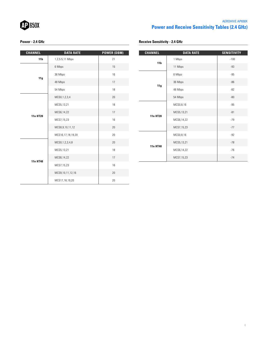

# AEROHIVE AP650X **Power and Receive Sensitivity Tables (2.4 GHz)**

**Receive Sensitivity - 2.4 GHz**

# **Power - 2.4 GHz**

| <b>CHANNEL</b>  | <b>DATA RATE</b>      | <b>POWER (DBM)</b> |
|-----------------|-----------------------|--------------------|
| 11 <sub>b</sub> | 1,2,5.5,11 Mbps<br>21 |                    |
|                 | 6 Mbps                | 15                 |
|                 | 36 Mbps               | 16                 |
| 11g             | 48 Mbps               | 17                 |
|                 | 54 Mbps               | 18                 |
| <b>11n HT20</b> | MCS0, 1, 2, 3, 4      | 20                 |
|                 | MCS5,13,21            | 18                 |
|                 | MCS6,14,22            | 17                 |
|                 | MCS7,15,23            | 16                 |
|                 | MCS8, 9, 10, 11, 12   | 20                 |
|                 | MCS16,17,18,19,20     | 20                 |
|                 | MCS0, 1, 2, 3, 4, 8   | 20                 |
|                 | MCS5,13,21            | 18                 |
| 11n HT40        | MCS6,14,22            | 17                 |
|                 | MCS7,15,23            | 16                 |
|                 | MCS9,10,11,12,16      | 20                 |
|                 | MCS17,18,19,20        | 20                 |

| <b>CHANNEL</b>  | <b>DATA RATE</b> | <b>SENSITIVITY</b> |
|-----------------|------------------|--------------------|
| 11 <sub>b</sub> | 1 Mbps           | $-100$             |
|                 | 11 Mbps          | $-93$              |
|                 | 6 Mbps           | $-95$              |
| 11g             | 36 Mbps          | $-86$              |
|                 | 48 Mbps          | $-82$              |
|                 | 54 Mbps          | $-80$              |
|                 | MCS0,8,16        | $-95$              |
|                 | MCS5,13,21       | $-81$              |
| <b>11n HT20</b> | MCS6,14,22       | $-79$              |
|                 | MCS7,15,23       | $-77$              |
|                 | MCS0,8,16        | $-92$              |
|                 | MCS5,13,21       | $-78$              |
| 11n HT40        | MCS6,14,22       | $-76$              |
|                 | MCS7,15,23       | $-74$              |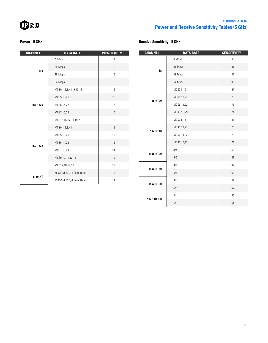

# AEROHIVE AP650X **Power and Receive Sensitivity Tables (5 GHz)**

## **Power - 5 GHz**

| <b>CHANNEL</b>  | <b>DATA RATE</b>       | <b>POWER (DBM)</b> |
|-----------------|------------------------|--------------------|
| 11a             | 6 Mbps                 | 19                 |
|                 | 36 Mbps                | 18                 |
|                 | 48 Mbps                | 16                 |
|                 | 54 Mbps                | 15                 |
|                 | MCS0,1,2,3,4,8,9,10,11 | 19                 |
| <b>11n HT20</b> | MCS5,13,21             | 18                 |
|                 | MCS6,14,22             | 16                 |
|                 | MCS7,15,23             | 15                 |
|                 | MCS12,16,17,18,19,20   | 19                 |
|                 | MCS0, 1, 2, 3, 4, 8    | 19                 |
|                 | MCS5,13,21             | 18                 |
| <b>11n HT40</b> | MCS6,14,22             | 16                 |
|                 | MCS7,15,23             | 14                 |
|                 | MCS9, 10, 11, 12, 16   | 19                 |
|                 | MCS17,18,19,20         | 19                 |
| 11ac HT         | 2560AM @ 3/4 Code Rate | 12                 |
|                 | 2560AM @ 5/6 Code Rate | 11                 |

| <b>CHANNEL</b>   | <b>DATA RATE</b> | <b>SENSITIVITY</b> |
|------------------|------------------|--------------------|
|                  | 6 Mbps           | $-95$              |
| 11a              | 36 Mbps          | $-86$              |
|                  | 48 Mbps          | $-81$              |
|                  | 54 Mbps          | $-80$              |
|                  | MCS0,8,16        | $-91$              |
| <b>11n HT20</b>  | MCS5,13,21       | $-78$              |
|                  | MCS6,14,22       | $-76$              |
|                  | MCS7,15,23       | $-74$              |
|                  | MCS0,8,16        | $-88$              |
|                  | MCS5,13,21       | $-75$              |
| 11n HT40         | MCS6,14,22       | $-73$              |
|                  | MCS7,15,23       | $-71$              |
|                  | 3/4              | $-65$              |
| <b>11ac HT20</b> | 5/6              | $-63$              |
|                  | 3/4              | $-62$              |
| <b>11ac HT40</b> | 5/6              | $-60$              |
| <b>11ac HT80</b> | 3/4              | $-59$              |
|                  | 5/6              | $-57$              |
|                  | 3/4              | $-56$              |
| 11ac HT160       | $5/6$            | $-54$              |

# **Receive Sensitivity - 5 GHz**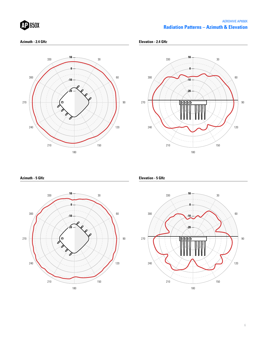| <b>MP 650X</b> |  |  |
|----------------|--|--|
|                |  |  |

# **Radiation Patterns – Azimuth & Elevation** AEROHIVE AP650X

#### **Azimuth - 2.4 GHz**

**Elevation - 2.4 GHz**





## **Azimuth - 5 GHz**



**Elevation - 5 GHz**